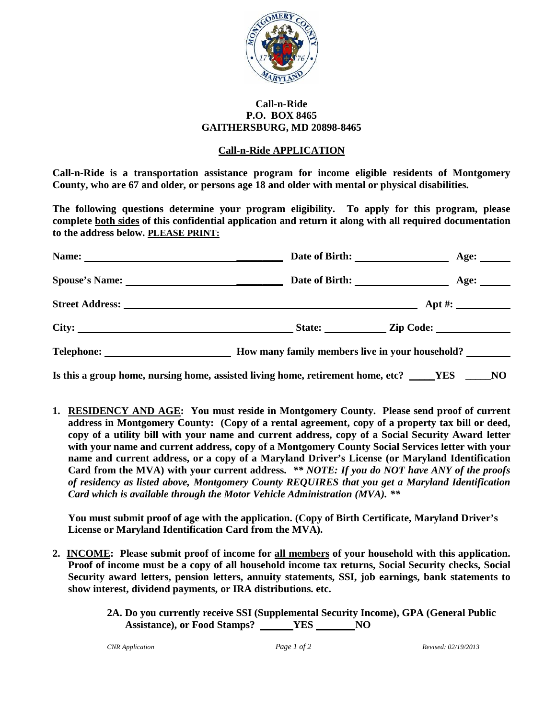

#### **Call-n-Ride P.O. BOX 8465 GAITHERSBURG, MD 20898-8465**

#### **Call-n-Ride APPLICATION**

**Call-n-Ride is a transportation assistance program for income eligible residents of Montgomery County, who are 67 and older, or persons age 18 and older with mental or physical disabilities.** 

**The following questions determine your program eligibility. To apply for this program, please complete both sides of this confidential application and return it along with all required documentation to the address below. PLEASE PRINT:**

|                          |                                                 | Age: $\qquad \qquad$ |
|--------------------------|-------------------------------------------------|----------------------|
|                          |                                                 | Age: $\qquad \qquad$ |
|                          |                                                 | $\Delta pt \#$ :     |
| City:                    | State:                                          | Zip Code:            |
| Telephone: New York 1988 | How many family members live in your household? |                      |

**Is this a group home, nursing home, assisted living home, retirement home, etc? YES** NO

**1. RESIDENCY AND AGE: You must reside in Montgomery County. Please send proof of current address in Montgomery County: (Copy of a rental agreement, copy of a property tax bill or deed, copy of a utility bill with your name and current address, copy of a Social Security Award letter with your name and current address, copy of a Montgomery County Social Services letter with your name and current address, or a copy of a Maryland Driver's License (or Maryland Identification Card from the MVA) with your current address.** *\*\* NOTE: If you do NOT have ANY of the proofs of residency as listed above, Montgomery County REQUIRES that you get a Maryland Identification Card which is available through the Motor Vehicle Administration (MVA). \*\**

**You must submit proof of age with the application. (Copy of Birth Certificate, Maryland Driver's License or Maryland Identification Card from the MVA).**

- **2. INCOME: Please submit proof of income for all members of your household with this application. Proof of income must be a copy of all household income tax returns, Social Security checks, Social Security award letters, pension letters, annuity statements, SSI, job earnings, bank statements to show interest, dividend payments, or IRA distributions. etc.**
	- **2A. Do you currently receive SSI (Supplemental Security Income), GPA (General Public Assistance), or Food Stamps? YES NO**

*CNR Application Page 1 of 2 Revised: 02/19/2013*